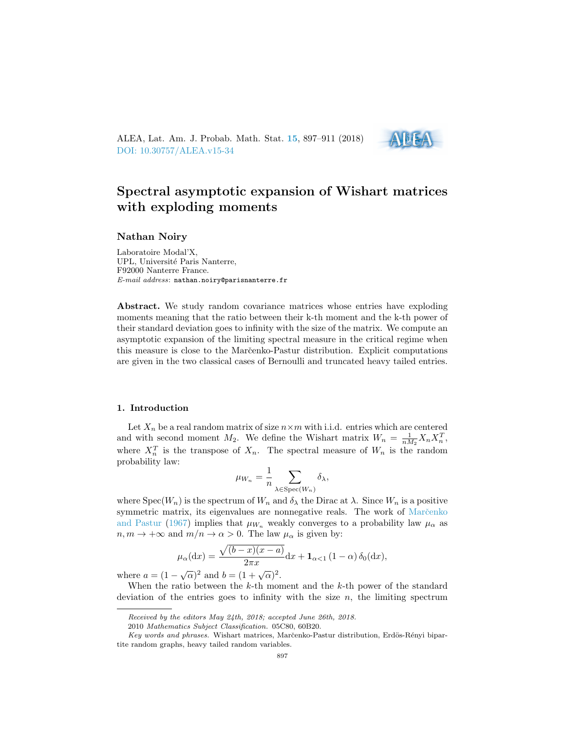ALEA, Lat. Am. J. Probab. Math. Stat. [15](http://alea.impa.br/english/index_v15.htm), 897–911 (2018) [DOI: 10.30757/ALEA.v15-34](https://doi.org/10.30757/ALEA.v15-34)



# Spectral asymptotic expansion of Wishart matrices with exploding moments

# Nathan Noiry

Laboratoire Modal'X, UPL, Université Paris Nanterre, F92000 Nanterre France. E-mail address: nathan.noiry@parisnanterre.fr

Abstract. We study random covariance matrices whose entries have exploding moments meaning that the ratio between their k-th moment and the k-th power of their standard deviation goes to infinity with the size of the matrix. We compute an asymptotic expansion of the limiting spectral measure in the critical regime when this measure is close to the Marcenko-Pastur distribution. Explicit computations are given in the two classical cases of Bernoulli and truncated heavy tailed entries.

#### 1. Introduction

Let  $X_n$  be a real random matrix of size  $n \times m$  with i.i.d. entries which are centered and with second moment  $M_2$ . We define the Wishart matrix  $W_n = \frac{1}{nM_2} X_n X_n^T$ , where  $X_n^T$  is the transpose of  $X_n$ . The spectral measure of  $W_n$  is the random probability law:

$$
\mu_{W_n} = \frac{1}{n} \sum_{\lambda \in \text{Spec}(W_n)} \delta_{\lambda},
$$

where  $Spec(W_n)$  is the spectrum of  $W_n$  and  $\delta_{\lambda}$  the Dirac at  $\lambda$ . Since  $W_n$  is a positive symmetric matrix, its eigenvalues are nonnegative reals. The work of Marc̆enko [and Pastur](#page-14-0) [\(1967\)](#page-14-0) implies that  $\mu_{W_n}$  weakly converges to a probability law  $\mu_{\alpha}$  as  $n, m \to +\infty$  and  $m/n \to \alpha > 0$ . The law  $\mu_{\alpha}$  is given by:

$$
\mu_{\alpha}(\mathrm{d}x) = \frac{\sqrt{(b-x)(x-a)}}{2\pi x}\mathrm{d}x + \mathbf{1}_{\alpha<1} (1-\alpha) \,\delta_0(\mathrm{d}x),
$$

where  $a = (1 - \sqrt{\alpha})^2$  and  $b = (1 + \sqrt{\alpha})^2$ .

When the ratio between the  $k$ -th moment and the  $k$ -th power of the standard deviation of the entries goes to infinity with the size  $n$ , the limiting spectrum

Received by the editors May 24th, 2018; accepted June 26th, 2018.

<sup>2010</sup> Mathematics Subject Classification. 05C80, 60B20.

Key words and phrases. Wishart matrices, Marčenko-Pastur distribution, Erdös-Rényi bipartite random graphs, heavy tailed random variables.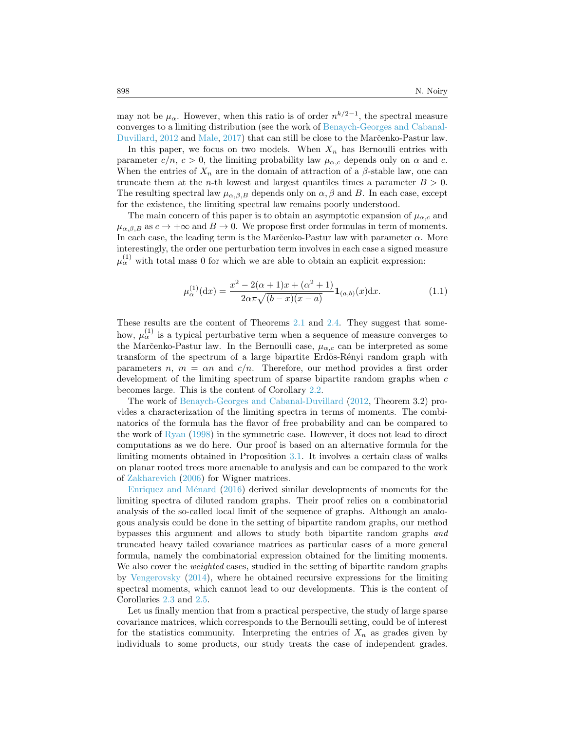may not be  $\mu_{\alpha}$ . However, when this ratio is of order  $n^{k/2-1}$ , the spectral measure converges to a limiting distribution (see the work of [Benaych-Georges and Cabanal-](#page-14-1)[Duvillard,](#page-14-1) [2012](#page-14-1) and [Male,](#page-14-2) [2017\)](#page-14-2) that can still be close to the Marc̆enko-Pastur law.

In this paper, we focus on two models. When  $X_n$  has Bernoulli entries with parameter  $c/n$ ,  $c > 0$ , the limiting probability law  $\mu_{\alpha,c}$  depends only on  $\alpha$  and  $c$ . When the entries of  $X_n$  are in the domain of attraction of a  $\beta$ -stable law, one can truncate them at the *n*-th lowest and largest quantiles times a parameter  $B > 0$ . The resulting spectral law  $\mu_{\alpha,\beta,B}$  depends only on  $\alpha,\beta$  and B. In each case, except for the existence, the limiting spectral law remains poorly understood.

The main concern of this paper is to obtain an asymptotic expansion of  $\mu_{\alpha,c}$  and  $\mu_{\alpha,\beta,B}$  as  $c \to +\infty$  and  $B \to 0$ . We propose first order formulas in term of moments. In each case, the leading term is the Marc̆enko-Pastur law with parameter  $\alpha$ . More interestingly, the order one perturbation term involves in each case a signed measure  $\mu_{\alpha}^{(1)}$  with total mass 0 for which we are able to obtain an explicit expression:

<span id="page-1-0"></span>
$$
\mu_{\alpha}^{(1)}(\mathbf{d}x) = \frac{x^2 - 2(\alpha + 1)x + (\alpha^2 + 1)}{2\alpha\pi\sqrt{(b - x)(x - a)}} \mathbf{1}_{(a,b)}(x)\mathbf{d}x.
$$
\n(1.1)

These results are the content of Theorems [2.1](#page-3-0) and [2.4.](#page-5-0) They suggest that somehow,  $\mu_{\alpha}^{(1)}$  is a typical perturbative term when a sequence of measure converges to the Marčenko-Pastur law. In the Bernoulli case,  $\mu_{\alpha,c}$  can be interpreted as some transform of the spectrum of a large bipartite Erdös-Rényi random graph with parameters  $n, m = \alpha n$  and  $c/n$ . Therefore, our method provides a first order development of the limiting spectrum of sparse bipartite random graphs when c becomes large. This is the content of Corollary [2.2.](#page-3-1)

The work of [Benaych-Georges and Cabanal-Duvillard](#page-14-1) [\(2012,](#page-14-1) Theorem 3.2) provides a characterization of the limiting spectra in terms of moments. The combinatorics of the formula has the flavor of free probability and can be compared to the work of [Ryan](#page-14-3) [\(1998\)](#page-14-3) in the symmetric case. However, it does not lead to direct computations as we do here. Our proof is based on an alternative formula for the limiting moments obtained in Proposition [3.1.](#page-6-0) It involves a certain class of walks on planar rooted trees more amenable to analysis and can be compared to the work of [Zakharevich](#page-14-4) [\(2006\)](#page-14-4) for Wigner matrices.

Enriquez and Ménard  $(2016)$  derived similar developments of moments for the limiting spectra of diluted random graphs. Their proof relies on a combinatorial analysis of the so-called local limit of the sequence of graphs. Although an analogous analysis could be done in the setting of bipartite random graphs, our method bypasses this argument and allows to study both bipartite random graphs and truncated heavy tailed covariance matrices as particular cases of a more general formula, namely the combinatorial expression obtained for the limiting moments. We also cover the *weighted* cases, studied in the setting of bipartite random graphs by [Vengerovsky](#page-14-6) [\(2014\)](#page-14-6), where he obtained recursive expressions for the limiting spectral moments, which cannot lead to our developments. This is the content of Corollaries [2.3](#page-3-2) and [2.5.](#page-5-1)

Let us finally mention that from a practical perspective, the study of large sparse covariance matrices, which corresponds to the Bernoulli setting, could be of interest for the statistics community. Interpreting the entries of  $X_n$  as grades given by individuals to some products, our study treats the case of independent grades.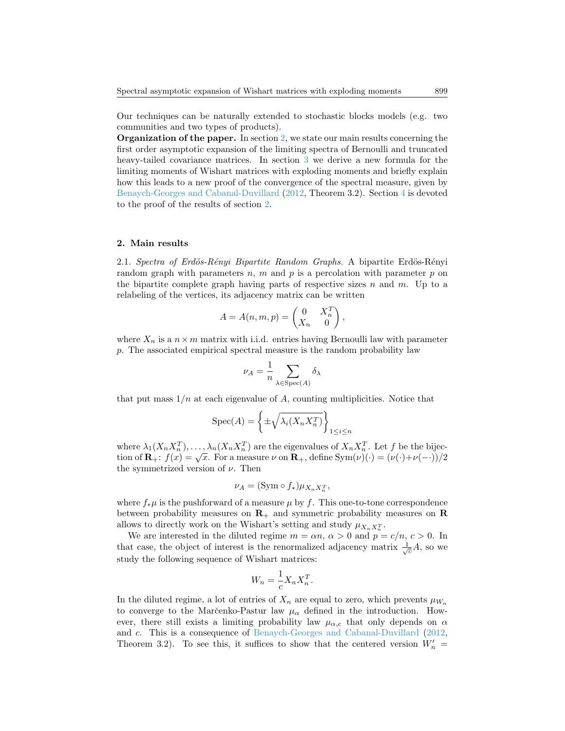Our techniques can be naturally extended to stochastic blocks models (e.g. two communities and two types of products).

Organization of the paper. In section [2,](#page-2-0) we state our main results concerning the first order asymptotic expansion of the limiting spectra of Bernoulli and truncated heavy-tailed covariance matrices. In section [3](#page-5-2) we derive a new formula for the limiting moments of Wishart matrices with exploding moments and briefly explain how this leads to a new proof of the convergence of the spectral measure, given by [Benaych-Georges and Cabanal-Duvillard](#page-14-1) [\(2012,](#page-14-1) Theorem 3.2). Section [4](#page-8-0) is devoted to the proof of the results of section [2.](#page-2-0)

# <span id="page-2-0"></span>2. Main results

<span id="page-2-1"></span>2.1. Spectra of Erdös-Rényi Bipartite Random Graphs. A bipartite Erdös-Rényi random graph with parameters  $n$ ,  $m$  and  $p$  is a percolation with parameter  $p$  on the bipartite complete graph having parts of respective sizes  $n$  and  $m$ . Up to a relabeling of the vertices, its adjacency matrix can be written

$$
A = A(n, m, p) = \begin{pmatrix} 0 & X_n^T \\ X_n & 0 \end{pmatrix},
$$

where  $X_n$  is a  $n \times m$  matrix with i.i.d. entries having Bernoulli law with parameter p. The associated empirical spectral measure is the random probability law

$$
\nu_A = \frac{1}{n} \sum_{\lambda \in \text{Spec}(A)} \delta_{\lambda}
$$

that put mass  $1/n$  at each eigenvalue of A, counting multiplicities. Notice that

$$
Spec(A) = \left\{ \pm \sqrt{\lambda_i(X_n X_n^T)} \right\}_{1 \le i \le n}
$$

where  $\lambda_1(X_nX_n^T), \ldots, \lambda_n(X_nX_n^T)$  are the eigenvalues of  $X_nX_n^T$ . Let f be the bijection of  $\mathbf{R}_+$ :  $f(x) = \sqrt{x}$ . For a measure  $\nu$  on  $\mathbf{R}_+$ , define  $\text{Sym}(\nu)(\cdot) = (\nu(\cdot)+\nu(-\cdot))/2$ the symmetrized version of  $\nu$ . Then

$$
\nu_A = (\text{Sym} \circ f_*) \mu_{X_n X_n^T},
$$

where  $f_*\mu$  is the pushforward of a measure  $\mu$  by f. This one-to-tone correspondence between probability measures on  $\mathbf{R}_+$  and symmetric probability measures on  $\mathbf{R}$ allows to directly work on the Wishart's setting and study  $\mu_{X_n X_n^T}$ .

We are interested in the diluted regime  $m = \alpha n$ ,  $\alpha > 0$  and  $p = c/n$ ,  $c > 0$ . In that case, the object of interest is the renormalized adjacency matrix  $\frac{1}{\sqrt{c}}A$ , so we study the following sequence of Wishart matrices:

$$
W_n = \frac{1}{c} X_n X_n^T.
$$

In the diluted regime, a lot of entries of  $X_n$  are equal to zero, which prevents  $\mu_{W_n}$ to converge to the Marčenko-Pastur law  $\mu_{\alpha}$  defined in the introduction. However, there still exists a limiting probability law  $\mu_{\alpha,c}$  that only depends on  $\alpha$ and c. This is a consequence of [Benaych-Georges and Cabanal-Duvillard](#page-14-1) [\(2012,](#page-14-1) Theorem 3.2). To see this, it suffices to show that the centered version  $W'_n =$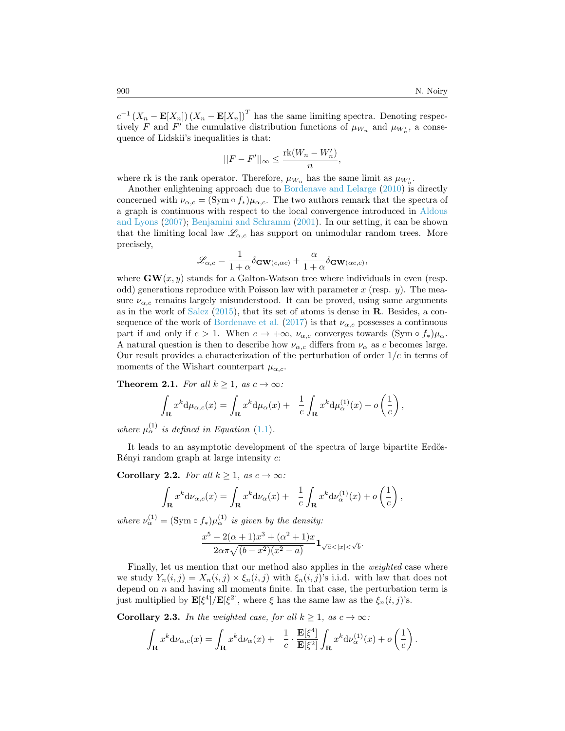$c^{-1}(X_n - \mathbf{E}[X_n]) (X_n - \mathbf{E}[X_n])^T$  has the same limiting spectra. Denoting respectively F and F' the cumulative distribution functions of  $\mu_{W_n}$  and  $\mu_{W'_n}$ , a consequence of Lidskii's inequalities is that:

$$
||F - F'||_{\infty} \le \frac{\mathrm{rk}(W_n - W'_n)}{n},
$$

where rk is the rank operator. Therefore,  $\mu_{W_n}$  has the same limit as  $\mu_{W_n}$ .

Another enlightening approach due to [Bordenave and Lelarge](#page-14-7) [\(2010\)](#page-14-7) is directly concerned with  $\nu_{\alpha,c} = (\text{Sym} \circ f_*)\mu_{\alpha,c}$ . The two authors remark that the spectra of a graph is continuous with respect to the local convergence introduced in [Aldous](#page-14-8) [and Lyons](#page-14-8) [\(2007\)](#page-14-8); [Benjamini and Schramm](#page-14-9) [\(2001\)](#page-14-9). In our setting, it can be shown that the limiting local law  $\mathscr{L}_{\alpha,c}$  has support on unimodular random trees. More precisely,

$$
\mathcal{L}_{\alpha,c} = \frac{1}{1+\alpha} \delta \mathbf{GW}(c,\alpha c) + \frac{\alpha}{1+\alpha} \delta \mathbf{GW}(\alpha c,c),
$$

where  $GW(x, y)$  stands for a Galton-Watson tree where individuals in even (resp. odd) generations reproduce with Poisson law with parameter x (resp.  $y$ ). The measure  $\nu_{\alpha,c}$  remains largely misunderstood. It can be proved, using same arguments as in the work of [Salez](#page-14-10)  $(2015)$ , that its set of atoms is dense in **R**. Besides, a con-sequence of the work of [Bordenave et al.](#page-14-11) [\(2017\)](#page-14-11) is that  $\nu_{\alpha,c}$  possesses a continuous part if and only if  $c > 1$ . When  $c \to +\infty$ ,  $\nu_{\alpha,c}$  converges towards  $(\text{Sym} \circ f_*)\mu_{\alpha}$ . A natural question is then to describe how  $\nu_{\alpha,c}$  differs from  $\nu_{\alpha}$  as c becomes large. Our result provides a characterization of the perturbation of order  $1/c$  in terms of moments of the Wishart counterpart  $\mu_{\alpha,c}$ .

<span id="page-3-0"></span>**Theorem 2.1.** For all  $k \geq 1$ , as  $c \to \infty$ :

$$
\int_{\mathbf{R}} x^k d\mu_{\alpha,c}(x) = \int_{\mathbf{R}} x^k d\mu_{\alpha}(x) + \frac{1}{c} \int_{\mathbf{R}} x^k d\mu_{\alpha}^{(1)}(x) + o\left(\frac{1}{c}\right),
$$

where  $\mu_{\alpha}^{(1)}$  is defined in Equation [\(1.1\)](#page-1-0).

It leads to an asymptotic development of the spectra of large bipartite Erdös-Rényi random graph at large intensity  $c$ :

<span id="page-3-1"></span>Corollary 2.2. For all  $k \geq 1$ , as  $c \to \infty$ :

$$
\int_{\mathbf{R}} x^k d\nu_{\alpha,c}(x) = \int_{\mathbf{R}} x^k d\nu_{\alpha}(x) + \frac{1}{c} \int_{\mathbf{R}} x^k d\nu_{\alpha}^{(1)}(x) + o\left(\frac{1}{c}\right),
$$

where  $\nu_{\alpha}^{(1)} = (\text{Sym} \circ f_*) \mu_{\alpha}^{(1)}$  is given by the density:

$$
\frac{x^5 - 2(\alpha + 1)x^3 + (\alpha^2 + 1)x}{2\alpha\pi\sqrt{(b - x^2)(x^2 - a)}} \mathbf{1}_{\sqrt{a} < |x| < \sqrt{b}}.
$$

Finally, let us mention that our method also applies in the weighted case where we study  $Y_n(i, j) = X_n(i, j) \times \xi_n(i, j)$  with  $\xi_n(i, j)$ 's i.i.d. with law that does not depend on  $n$  and having all moments finite. In that case, the perturbation term is just multiplied by  $\mathbf{E}[\xi^4]/\mathbf{E}[\xi^2]$ , where  $\xi$  has the same law as the  $\xi_n(i,j)$ 's.

<span id="page-3-2"></span>**Corollary 2.3.** In the weighted case, for all  $k \geq 1$ , as  $c \to \infty$ :

$$
\int_{\mathbf{R}} x^k d\nu_{\alpha,c}(x) = \int_{\mathbf{R}} x^k d\nu_{\alpha}(x) + \frac{1}{c} \cdot \frac{\mathbf{E}[\xi^4]}{\mathbf{E}[\xi^2]} \int_{\mathbf{R}} x^k d\nu_{\alpha}^{(1)}(x) + o\left(\frac{1}{c}\right).
$$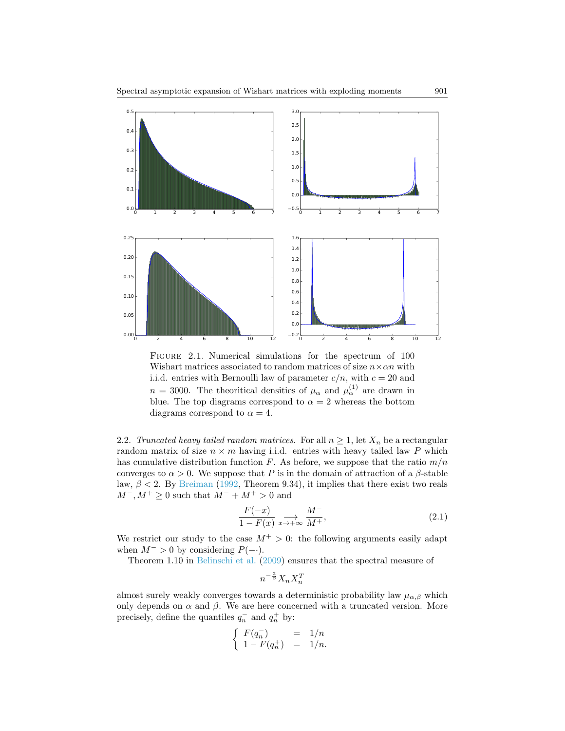

FIGURE 2.1. Numerical simulations for the spectrum of 100 Wishart matrices associated to random matrices of size  $n \times \alpha n$  with i.i.d. entries with Bernoulli law of parameter  $c/n$ , with  $c = 20$  and  $n = 3000$ . The theoritical densities of  $\mu_{\alpha}$  and  $\mu_{\alpha}^{(1)}$  are drawn in blue. The top diagrams correspond to  $\alpha = 2$  whereas the bottom diagrams correspond to  $\alpha = 4$ .

2.2. Truncated heavy tailed random matrices. For all  $n \geq 1$ , let  $X_n$  be a rectangular random matrix of size  $n \times m$  having i.i.d. entries with heavy tailed law P which has cumulative distribution function F. As before, we suppose that the ratio  $m/n$ converges to  $\alpha > 0$ . We suppose that P is in the domain of attraction of a  $\beta$ -stable law,  $\beta$  < 2. By [Breiman](#page-14-12) [\(1992,](#page-14-12) Theorem 9.34), it implies that there exist two reals  $M^-, M^+ \geq 0$  such that  $M^- + M^+ > 0$  and

<span id="page-4-0"></span>
$$
\frac{F(-x)}{1 - F(x)} \underset{x \to +\infty}{\longrightarrow} \frac{M^-}{M^+},\tag{2.1}
$$

We restrict our study to the case  $M^+ > 0$ : the following arguments easily adapt when  $M^- > 0$  by considering  $P(-)$ .

Theorem 1.10 in [Belinschi et al.](#page-14-13) [\(2009\)](#page-14-13) ensures that the spectral measure of

$$
n^{-\frac{2}{\beta}}X_n X_n^T
$$

almost surely weakly converges towards a deterministic probability law  $\mu_{\alpha,\beta}$  which only depends on  $\alpha$  and  $\beta$ . We are here concerned with a truncated version. More precisely, define the quantiles  $q_n^-$  and  $q_n^+$  by:

$$
\left\{ \begin{array}{lcl} F(q_n^-) &=& 1/n \\ 1-F(q_n^+) &=& 1/n. \end{array} \right.
$$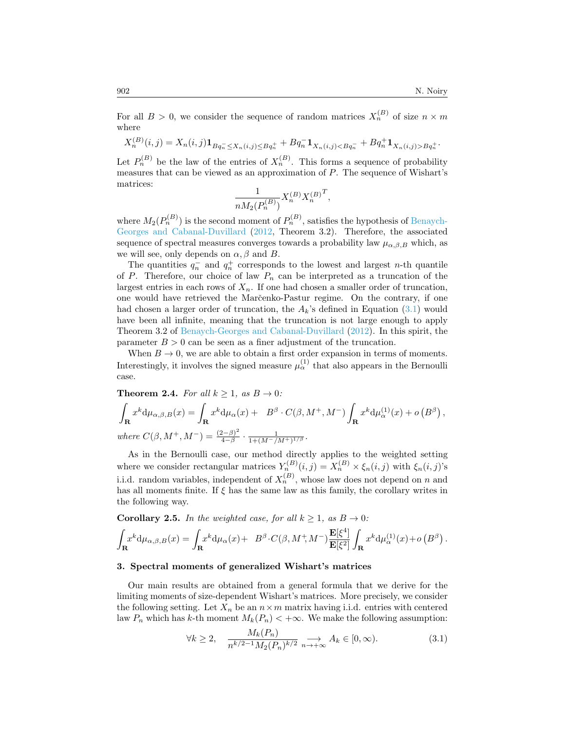For all  $B > 0$ , we consider the sequence of random matrices  $X_n^{(B)}$  of size  $n \times m$ where

$$
X_n^{(B)}(i,j) = X_n(i,j) \mathbf{1}_{Bq_n \le X_n(i,j) \le Bq_n^+} + Bq_n^{-} \mathbf{1}_{X_n(i,j) < Bq_n^-} + Bq_n^{+} \mathbf{1}_{X_n(i,j) > Bq_n^+}.
$$

Let  $P_n^{(B)}$  be the law of the entries of  $X_n^{(B)}$ . This forms a sequence of probability measures that can be viewed as an approximation of P. The sequence of Wishart's matrices:

$$
\frac{1}{n M_2(P_n^{(B)})} X_n^{(B)} X_n^{(B)^T},
$$

where  $M_2(P_n^{(B)})$  is the second moment of  $P_n^{(B)}$ , satisfies the hypothesis of [Benaych-](#page-14-1)[Georges and Cabanal-Duvillard](#page-14-1) [\(2012,](#page-14-1) Theorem 3.2). Therefore, the associated sequence of spectral measures converges towards a probability law  $\mu_{\alpha,\beta,B}$  which, as we will see, only depends on  $\alpha, \beta$  and B.

The quantities  $q_n^-$  and  $q_n^+$  corresponds to the lowest and largest n-th quantile of P. Therefore, our choice of law  $P_n$  can be interpreted as a truncation of the largest entries in each rows of  $X_n$ . If one had chosen a smaller order of truncation, one would have retrieved the Marc̆enko-Pastur regime. On the contrary, if one had chosen a larger order of truncation, the  $A_k$ 's defined in Equation [\(3.1\)](#page-5-3) would have been all infinite, meaning that the truncation is not large enough to apply Theorem 3.2 of [Benaych-Georges and Cabanal-Duvillard](#page-14-1) [\(2012\)](#page-14-1). In this spirit, the parameter  $B > 0$  can be seen as a finer adjustment of the truncation.

When  $B \to 0$ , we are able to obtain a first order expansion in terms of moments. Interestingly, it involves the signed measure  $\mu_{\alpha}^{(1)}$  that also appears in the Bernoulli case.

<span id="page-5-0"></span>**Theorem 2.4.** For all  $k \geq 1$ , as  $B \to 0$ :

$$
\int_{\mathbf{R}} x^k d\mu_{\alpha,\beta,B}(x) = \int_{\mathbf{R}} x^k d\mu_{\alpha}(x) + B^{\beta} \cdot C(\beta, M^+, M^-) \int_{\mathbf{R}} x^k d\mu_{\alpha}^{(1)}(x) + o(B^{\beta}),
$$
  
where  $C(\beta, M^+, M^-) = \frac{(2-\beta)^2}{4-\beta} \cdot \frac{1}{1 + (M^-/M^+)^{1/\beta}}$ .

As in the Bernoulli case, our method directly applies to the weighted setting where we consider rectangular matrices  $Y_n^{(B)}(i,j) = X_n^{(B)} \times \xi_n(i,j)$  with  $\xi_n(i,j)$ 's i.i.d. random variables, independent of  $X_n^{(B)}$ , whose law does not depend on n and has all moments finite. If  $\xi$  has the same law as this family, the corollary writes in the following way.

<span id="page-5-1"></span>**Corollary 2.5.** In the weighted case, for all  $k \geq 1$ , as  $B \to 0$ :

$$
\int_{\mathbf{R}} x^k d\mu_{\alpha,\beta,B}(x) = \int_{\mathbf{R}} x^k d\mu_{\alpha}(x) + B^{\beta} \cdot C(\beta, M^+, M^-) \frac{\mathbf{E}[\xi^4]}{\mathbf{E}[\xi^2]} \int_{\mathbf{R}} x^k d\mu_{\alpha}^{(1)}(x) + o\left(B^{\beta}\right).
$$

#### <span id="page-5-2"></span>3. Spectral moments of generalized Wishart's matrices

Our main results are obtained from a general formula that we derive for the limiting moments of size-dependent Wishart's matrices. More precisely, we consider the following setting. Let  $X_n$  be an  $n \times m$  matrix having i.i.d. entries with centered law  $P_n$  which has k-th moment  $M_k(P_n) < +\infty$ . We make the following assumption:

<span id="page-5-3"></span>
$$
\forall k \ge 2, \quad \frac{M_k(P_n)}{n^{k/2 - 1} M_2(P_n)^{k/2}} \underset{n \to +\infty}{\longrightarrow} A_k \in [0, \infty). \tag{3.1}
$$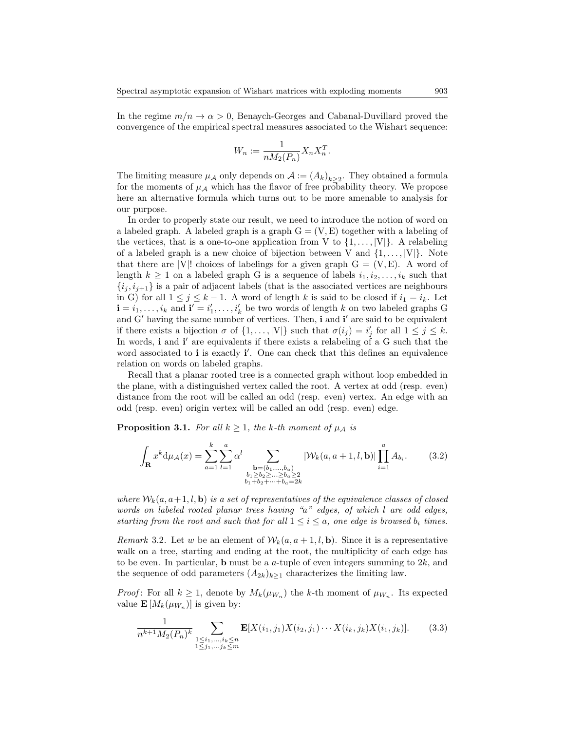In the regime  $m/n \to \alpha > 0$ , Benaych-Georges and Cabanal-Duvillard proved the convergence of the empirical spectral measures associated to the Wishart sequence:

$$
W_n := \frac{1}{n M_2(P_n)} X_n X_n^T.
$$

The limiting measure  $\mu_{\mathcal{A}}$  only depends on  $\mathcal{A} := (A_k)_{k \geq 2}$ . They obtained a formula for the moments of  $\mu_{\mathcal{A}}$  which has the flavor of free probability theory. We propose here an alternative formula which turns out to be more amenable to analysis for our purpose.

In order to properly state our result, we need to introduce the notion of word on a labeled graph. A labeled graph is a graph  $G = (V, E)$  together with a labeling of the vertices, that is a one-to-one application from V to  $\{1,\ldots,|V|\}$ . A relabeling of a labeled graph is a new choice of bijection between V and  $\{1, \ldots, |V|\}$ . Note that there are |V|! choices of labelings for a given graph  $G = (V, E)$ . A word of length  $k \geq 1$  on a labeled graph G is a sequence of labels  $i_1, i_2, \ldots, i_k$  such that  ${i_j, i_{j+1}}$  is a pair of adjacent labels (that is the associated vertices are neighbours in G) for all  $1 \leq j \leq k-1$ . A word of length k is said to be closed if  $i_1 = i_k$ . Let  $\mathbf{i} = i_1, \ldots, i_k$  and  $\mathbf{i}' = i'_1, \ldots, i'_k$  be two words of length k on two labeled graphs G and G' having the same number of vertices. Then, i and i' are said to be equivalent if there exists a bijection  $\sigma$  of  $\{1, \ldots, |V|\}$  such that  $\sigma(i_j) = i'_j$  for all  $1 \leq j \leq k$ . In words,  $\mathbf i$  and  $\mathbf i'$  are equivalents if there exists a relabeling of a G such that the word associated to *i* is exactly *i'*. One can check that this defines an equivalence relation on words on labeled graphs.

Recall that a planar rooted tree is a connected graph without loop embedded in the plane, with a distinguished vertex called the root. A vertex at odd (resp. even) distance from the root will be called an odd (resp. even) vertex. An edge with an odd (resp. even) origin vertex will be called an odd (resp. even) edge.

<span id="page-6-0"></span>**Proposition 3.1.** For all  $k \geq 1$ , the k-th moment of  $\mu_A$  is

$$
\int_{\mathbf{R}} x^{k} d\mu_{\mathcal{A}}(x) = \sum_{a=1}^{k} \sum_{l=1}^{a} \alpha^{l} \sum_{\substack{\mathbf{b} = (b_1, \dots, b_a) \\ b_1 \ge b_2 \ge \dots \ge b_a \ge 2 \\ b_1 + b_2 + \dots + b_a = 2k}} |\mathcal{W}_k(a, a+1, l, \mathbf{b})| \prod_{i=1}^{a} A_{b_i}.
$$
 (3.2)

where  $W_k(a, a+1, l, b)$  is a set of representatives of the equivalence classes of closed words on labeled rooted planar trees having "a" edges, of which l are odd edges, starting from the root and such that for all  $1 \leq i \leq a$ , one edge is browsed  $b_i$  times.

<span id="page-6-2"></span>*Remark* 3.2. Let w be an element of  $W_k(a, a+1, l, b)$ . Since it is a representative walk on a tree, starting and ending at the root, the multiplicity of each edge has to be even. In particular, **b** must be a  $a$ -tuple of even integers summing to  $2k$ , and the sequence of odd parameters  $(A_{2k})_{k\geq 1}$  characterizes the limiting law.

*Proof*: For all  $k \geq 1$ , denote by  $M_k(\mu_{W_n})$  the k-th moment of  $\mu_{W_n}$ . Its expected value  $\mathbf{E}[M_k(\mu_{W_n})]$  is given by:

<span id="page-6-1"></span>
$$
\frac{1}{n^{k+1}M_2(P_n)^k} \sum_{\substack{1 \le i_1,\ldots,i_k \le n \\ 1 \le j_1,\ldots,j_k \le m}} \mathbf{E}[X(i_1,j_1)X(i_2,j_1)\cdots X(i_k,j_k)X(i_1,j_k)].\tag{3.3}
$$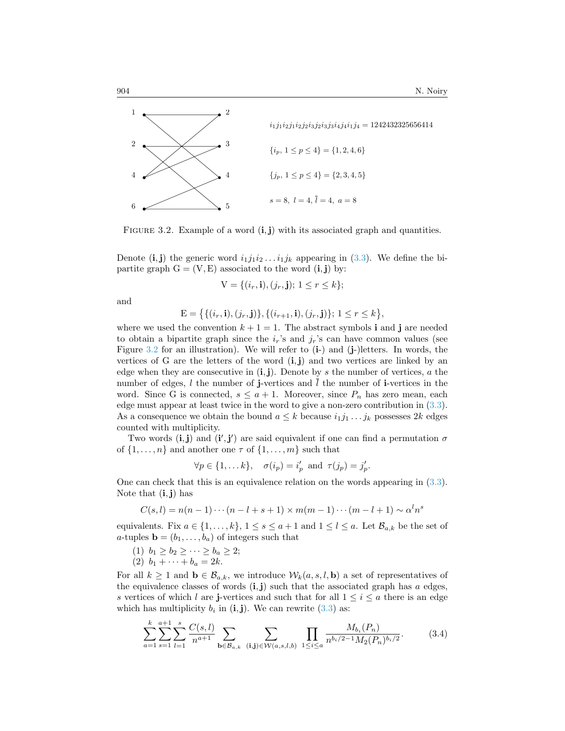

<span id="page-7-0"></span>FIGURE 3.2. Example of a word  $(i, j)$  with its associated graph and quantities.

Denote  $(i, j)$  the generic word  $i_1 j_1 i_2 \ldots i_1 j_k$  appearing in [\(3.3\)](#page-6-1). We define the bipartite graph  $G = (V, E)$  associated to the word  $(i, j)$  by:

 $V = \{(i_r, \mathbf{i}), (j_r, \mathbf{j}); 1 \leq r \leq k\};$ 

and

$$
E = \{ \{ (i_r, i), (j_r, j) \}, \{ (i_{r+1}, i), (j_r, j) \}; 1 \le r \le k \},\
$$

where we used the convention  $k + 1 = 1$ . The abstract symbols i and j are needed to obtain a bipartite graph since the  $i_r$ 's and  $j_r$ 's can have common values (see Figure [3.2](#page-7-0) for an illustration). We will refer to  $(i-)$  and  $(j-)$  letters. In words, the vertices of G are the letters of the word  $(i, j)$  and two vertices are linked by an edge when they are consecutive in  $(i, j)$ . Denote by s the number of vertices, a the number of edges,  $l$  the number of j-vertices and  $\overline{l}$  the number of i-vertices in the word. Since G is connected,  $s \leq a+1$ . Moreover, since  $P_n$  has zero mean, each edge must appear at least twice in the word to give a non-zero contribution in [\(3.3\)](#page-6-1). As a consequence we obtain the bound  $a \leq k$  because  $i_1 j_1 \ldots j_k$  possesses 2k edges counted with multiplicity.

Two words  $(i, j)$  and  $(i', j')$  are said equivalent if one can find a permutation  $\sigma$ of  $\{1, \ldots, n\}$  and another one  $\tau$  of  $\{1, \ldots, m\}$  such that

$$
\forall p \in \{1, \dots k\}, \quad \sigma(i_p) = i'_p \text{ and } \tau(j_p) = j'_p.
$$

One can check that this is an equivalence relation on the words appearing in [\(3.3\)](#page-6-1). Note that  $(i, j)$  has

$$
C(s,l) = n(n-1)\cdots(n-l+s+1) \times m(m-1)\cdots(m-l+1) \sim \alpha^l n^s
$$

equivalents. Fix  $a \in \{1, ..., k\}, 1 \le s \le a+1$  and  $1 \le l \le a$ . Let  $\mathcal{B}_{a,k}$  be the set of a-tuples  $\mathbf{b} = (b_1, \ldots, b_a)$  of integers such that

- (1)  $b_1 \geq b_2 \geq \cdots \geq b_a \geq 2;$
- (2)  $b_1 + \cdots + b_a = 2k$ .

For all  $k \ge 1$  and  $\mathbf{b} \in \mathcal{B}_{a,k}$ , we introduce  $\mathcal{W}_k(a, s, l, \mathbf{b})$  a set of representatives of the equivalence classes of words  $(i, j)$  such that the associated graph has a edges, s vertices of which l are j-vertices and such that for all  $1 \leq i \leq a$  there is an edge which has multiplicity  $b_i$  in  $(i, j)$ . We can rewrite  $(3.3)$  as:

$$
\sum_{a=1}^{k} \sum_{s=1}^{a+1} \sum_{l=1}^{s} \frac{C(s,l)}{n^{a+1}} \sum_{\mathbf{b} \in \mathcal{B}_{a,k}} \sum_{(\mathbf{i},\mathbf{j}) \in \mathcal{W}(a,s,l,b)} \prod_{1 \le i \le a} \frac{M_{b_i}(P_n)}{n^{b_i/2-1} M_2(P_n)^{b_i/2}}.
$$
 (3.4)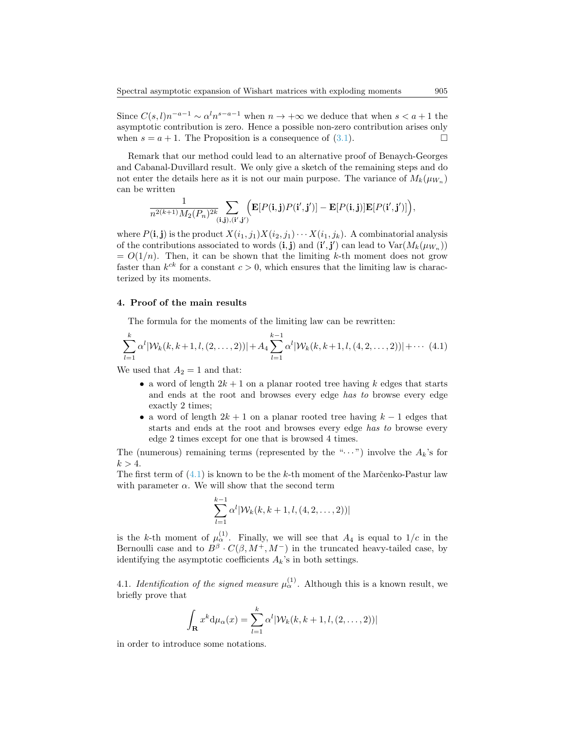Since  $C(s, l)n^{-a-1} \sim \alpha^l n^{s-a-1}$  when  $n \to +\infty$  we deduce that when  $s < a+1$  the asymptotic contribution is zero. Hence a possible non-zero contribution arises only when  $s = a + 1$ . The Proposition is a consequence of [\(3.1\)](#page-5-3).

Remark that our method could lead to an alternative proof of Benaych-Georges and Cabanal-Duvillard result. We only give a sketch of the remaining steps and do not enter the details here as it is not our main purpose. The variance of  $M_k(\mu_{W_n})$ can be written

$$
\frac{1}{n^{2(k+1)}M_2(P_n)^{2k}}\!\!\sum_{(\mathbf{i},\mathbf{j}),(\mathbf{i}',\mathbf{j}')} \!\!\!\left(\mathbf{E}[P(\mathbf{i},\mathbf{j})P(\mathbf{i}',\mathbf{j}')] - \mathbf{E}[P(\mathbf{i},\mathbf{j})]\mathbf{E}[P(\mathbf{i}',\mathbf{j}')]\right)\!,
$$

where  $P(i, j)$  is the product  $X(i_1, j_1)X(i_2, j_1)\cdots X(i_1, j_k)$ . A combinatorial analysis of the contributions associated to words  $(i, j)$  and  $(i', j')$  can lead to  $Var(M_k(\mu_{W_n}))$  $= O(1/n)$ . Then, it can be shown that the limiting k-th moment does not grow faster than  $k^{ck}$  for a constant  $c > 0$ , which ensures that the limiting law is characterized by its moments.

# <span id="page-8-0"></span>4. Proof of the main results

The formula for the moments of the limiting law can be rewritten:

<span id="page-8-1"></span>
$$
\sum_{l=1}^{k} \alpha^{l} |\mathcal{W}_{k}(k, k+1, l, (2, \ldots, 2))| + A_{4} \sum_{l=1}^{k-1} \alpha^{l} |\mathcal{W}_{k}(k, k+1, l, (4, 2, \ldots, 2))| + \cdots (4.1)
$$

We used that  $A_2 = 1$  and that:

- a word of length  $2k+1$  on a planar rooted tree having k edges that starts and ends at the root and browses every edge has to browse every edge exactly 2 times;
- a word of length  $2k + 1$  on a planar rooted tree having  $k 1$  edges that starts and ends at the root and browses every edge has to browse every edge 2 times except for one that is browsed 4 times.

The (numerous) remaining terms (represented by the " $\cdots$ ") involve the  $A_k$ 's for  $k > 4$ .

The first term of  $(4.1)$  is known to be the k-th moment of the Marc̆enko-Pastur law with parameter  $\alpha$ . We will show that the second term

$$
\sum_{l=1}^{k-1} \alpha^l |\mathcal{W}_k(k, k+1, l, (4, 2, \dots, 2))|
$$

is the k-th moment of  $\mu_{\alpha}^{(1)}$ . Finally, we will see that  $A_4$  is equal to  $1/c$  in the Bernoulli case and to  $B^{\beta} \cdot C(\beta, M^{+}, M^{-})$  in the truncated heavy-tailed case, by identifying the asymptotic coefficients  $A_k$ 's in both settings.

4.1. Identification of the signed measure  $\mu_{\alpha}^{(1)}$ . Although this is a known result, we briefly prove that

$$
\int_{\mathbf{R}} x^k d\mu_\alpha(x) = \sum_{l=1}^k \alpha^l |\mathcal{W}_k(k, k+1, l, (2, \dots, 2))|
$$

in order to introduce some notations.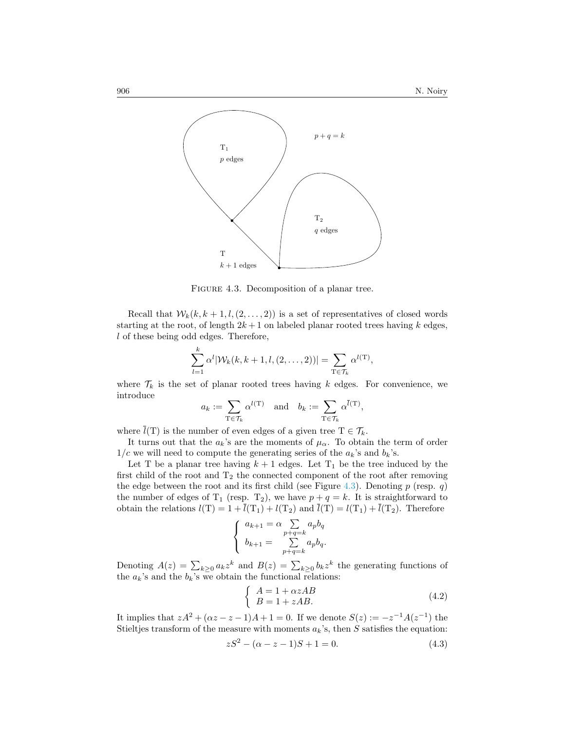

<span id="page-9-0"></span>FIGURE 4.3. Decomposition of a planar tree.

Recall that  $W_k(k, k+1, l, (2, \ldots, 2))$  is a set of representatives of closed words starting at the root, of length  $2k+1$  on labeled planar rooted trees having k edges, l of these being odd edges. Therefore,

$$
\sum_{l=1}^{k} \alpha^{l} |\mathcal{W}_{k}(k, k+1, l, (2, ..., 2))| = \sum_{\mathrm{T} \in \mathcal{T}_{k}} \alpha^{l(\mathrm{T})},
$$

where  $\mathcal{T}_k$  is the set of planar rooted trees having k edges. For convenience, we introduce

$$
a_k := \sum_{\mathrm{T} \in \mathcal{T}_k} \alpha^{l(\mathrm{T})}
$$
 and  $b_k := \sum_{\mathrm{T} \in \mathcal{T}_k} \alpha^{\overline{l}(\mathrm{T})}$ ,

where  $\overline{l}(T)$  is the number of even edges of a given tree  $T \in \mathcal{T}_k$ .

It turns out that the  $a_k$ 's are the moments of  $\mu_\alpha$ . To obtain the term of order  $1/c$  we will need to compute the generating series of the  $a_k$ 's and  $b_k$ 's.

Let T be a planar tree having  $k + 1$  edges. Let  $T_1$  be the tree induced by the first child of the root and  $T_2$  the connected component of the root after removing the edge between the root and its first child (see Figure [4.3\)](#page-9-0). Denoting  $p$  (resp.  $q$ ) the number of edges of  $T_1$  (resp.  $T_2$ ), we have  $p + q = k$ . It is straightforward to obtain the relations  $l(T) = 1 + \overline{l}(T_1) + l(T_2)$  and  $\overline{l}(T) = l(T_1) + \overline{l}(T_2)$ . Therefore

$$
\begin{cases}\n a_{k+1} = \alpha \sum_{p+q=k} a_p b_q \\
 b_{k+1} = \sum_{p+q=k} a_p b_q.\n\end{cases}
$$

Denoting  $A(z) = \sum_{k\geq 0} a_k z^k$  and  $B(z) = \sum_{k\geq 0} b_k z^k$  the generating functions of the  $a_k$ 's and the  $b_k$ 's we obtain the functional relations:

<span id="page-9-2"></span>
$$
\begin{cases}\nA = 1 + \alpha z AB \\
B = 1 + z AB.\n\end{cases}
$$
\n(4.2)

It implies that  $zA^2 + (\alpha z - z - 1)A + 1 = 0$ . If we denote  $S(z) := -z^{-1}A(z^{-1})$  the Stieltjes transform of the measure with moments  $a_k$ 's, then S satisfies the equation:

<span id="page-9-1"></span>
$$
zS^2 - (\alpha - z - 1)S + 1 = 0.
$$
 (4.3)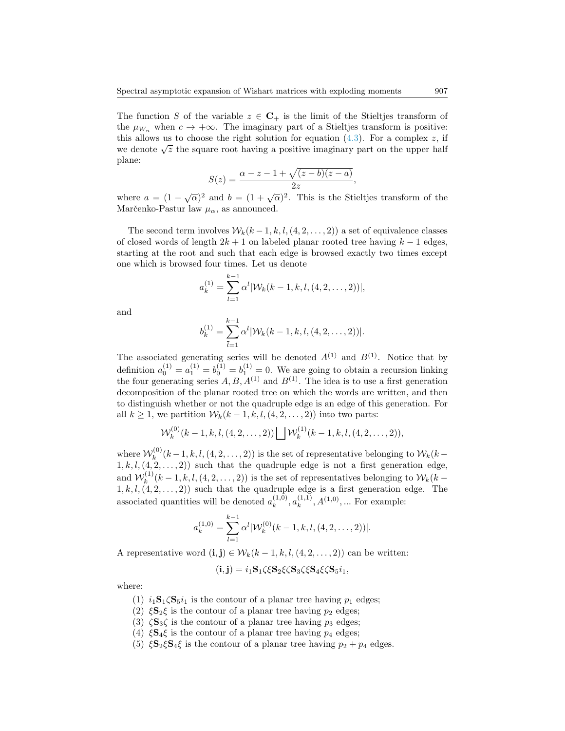The function S of the variable  $z \in \mathbb{C}_+$  is the limit of the Stieltjes transform of the  $\mu_{W_n}$  when  $c \to +\infty$ . The imaginary part of a Stieltjes transform is positive: this allows us to choose the right solution for equation  $(4.3)$ . For a complex z, if we denote  $\sqrt{z}$  the square root having a positive imaginary part on the upper half plane:

$$
S(z) = \frac{\alpha - z - 1 + \sqrt{(z - b)(z - a)}}{2z},
$$

where  $a = (1 - \sqrt{\alpha})^2$  and  $b = (1 + \sqrt{\alpha})^2$ . This is the Stieltjes transform of the Marčenko-Pastur law  $\mu_{\alpha}$ , as announced.

The second term involves  $W_k(k-1,k,l,(4,2,\ldots,2))$  a set of equivalence classes of closed words of length  $2k + 1$  on labeled planar rooted tree having  $k - 1$  edges, starting at the root and such that each edge is browsed exactly two times except one which is browsed four times. Let us denote

$$
a_k^{(1)} = \sum_{l=1}^{k-1} \alpha^l |\mathcal{W}_k(k-1,k,l,(4,2,\ldots,2))|,
$$

and

$$
b_k^{(1)} = \sum_{\bar{l}=1}^{k-1} \alpha^l |\mathcal{W}_k(k-1,k,l,(4,2,\ldots,2))|.
$$

The associated generating series will be denoted  $A^{(1)}$  and  $B^{(1)}$ . Notice that by definition  $a_0^{(1)} = a_1^{(1)} = b_0^{(1)} = b_1^{(1)} = 0$ . We are going to obtain a recursion linking the four generating series  $A, B, A^{(1)}$  and  $B^{(1)}$ . The idea is to use a first generation decomposition of the planar rooted tree on which the words are written, and then to distinguish whether or not the quadruple edge is an edge of this generation. For all  $k \geq 1$ , we partition  $\mathcal{W}_k(k-1,k,l,(4,2,\ldots,2))$  into two parts:

$$
\mathcal{W}_k^{(0)}(k-1,k,l,(4,2,\ldots,2)) \bigsqcup \mathcal{W}_k^{(1)}(k-1,k,l,(4,2,\ldots,2)),
$$

where  $\mathcal{W}_k^{(0)}$  $(k-1, k, l, (4, 2, \ldots, 2))$  is the set of representative belonging to  $W_k(k-1, k, l, (4, 2, \ldots, 2))$  $1, k, l, (4, 2, \ldots, 2)$  such that the quadruple edge is not a first generation edge, and  $\mathcal{W}_k^{(1)}$  $(k-1, k, l, (4, 2, \ldots, 2))$  is the set of representatives belonging to  $W_k(k-1, k, l, (4, 2, \ldots, 2))$  $1, k, l, (4, 2, \ldots, 2)$  such that the quadruple edge is a first generation edge. The associated quantities will be denoted  $a_k^{(1,0)}$  $a_k^{(1,0)}, a_k^{(1,1)}$  $k^{(1,1)}$ ,  $A^{(1,0)}$ , ... For example:

$$
a_k^{(1,0)} = \sum_{l=1}^{k-1} \alpha^l |\mathcal{W}_k^{(0)}(k-1,k,l,(4,2,\ldots,2))|.
$$

A representative word  $(i, j) \in W_k(k-1, k, l, (4, 2, \ldots, 2))$  can be written:

$$
(\mathbf{i}, \mathbf{j}) = i_1 \mathbf{S}_1 \zeta \xi \mathbf{S}_2 \xi \zeta \mathbf{S}_3 \zeta \xi \mathbf{S}_4 \xi \zeta \mathbf{S}_5 i_1,
$$

where:

- (1)  $i_1$ **S**<sub>1</sub> $\zeta$ **S**<sub>5</sub> $i_1$  is the contour of a planar tree having  $p_1$  edges;
- (2)  $\xi S_2 \xi$  is the contour of a planar tree having  $p_2$  edges;
- (3)  $\zeta S_3\zeta$  is the contour of a planar tree having  $p_3$  edges;
- (4)  $\xi S_4 \xi$  is the contour of a planar tree having  $p_4$  edges;
- (5)  $\xi S_2 \xi S_4 \xi$  is the contour of a planar tree having  $p_2 + p_4$  edges.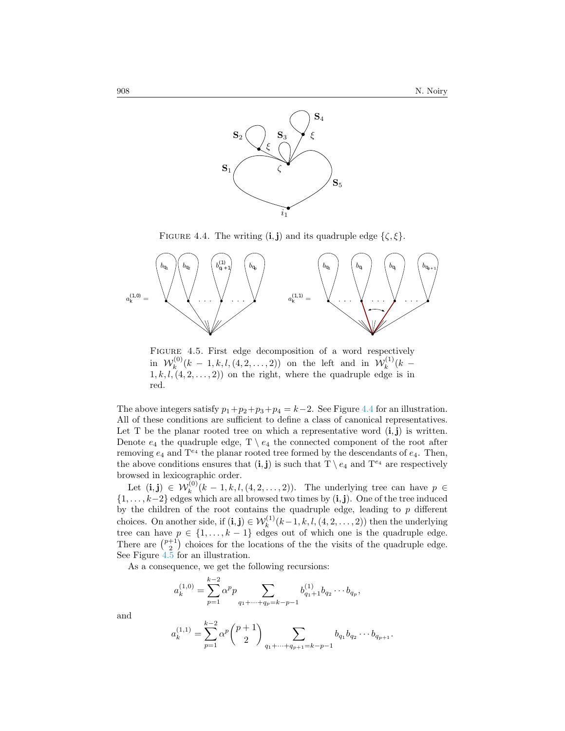

<span id="page-11-0"></span>FIGURE 4.4. The writing  $(i, j)$  and its quadruple edge  $\{\zeta, \xi\}.$ 



<span id="page-11-1"></span>FIGURE 4.5. First edge decomposition of a word respectively in  $\mathcal{W}_k^{(0)}$  $\mathcal{W}_k^{(0)}(k-1,k,l,(4,2,\ldots,2))$  on the left and in  $\mathcal{W}_k^{(1)}$  $\binom{k}{k}$  (k - $(1, k, l, (4, 2, \ldots, 2))$  on the right, where the quadruple edge is in red.

The above integers satisfy  $p_1+p_2+p_3+p_4=k-2$ . See Figure [4.4](#page-11-0) for an illustration. All of these conditions are sufficient to define a class of canonical representatives. Let T be the planar rooted tree on which a representative word  $(i, j)$  is written. Denote  $e_4$  the quadruple edge,  $T \setminus e_4$  the connected component of the root after removing  $e_4$  and  $T^{e_4}$  the planar rooted tree formed by the descendants of  $e_4$ . Then, the above conditions ensures that  $(i, j)$  is such that  $T \setminus e_4$  and  $T^{e_4}$  are respectively browsed in lexicographic order.

Let  $(i, j) \in W_k^{(0)}(k-1, k, l, (4, 2, \ldots, 2)).$  The underlying tree can have  $p \in$  $\{1, \ldots, k-2\}$  edges which are all browsed two times by  $(i, j)$ . One of the tree induced by the children of the root contains the quadruple edge, leading to  $p$  different choices. On another side, if  $(i, j) \in W_k^{(1)}(k-1, k, l, (4, 2, ..., 2))$  then the underlying tree can have  $p \in \{1, \ldots, k-1\}$  edges out of which one is the quadruple edge. There are  $\binom{p+1}{2}$  choices for the locations of the the visits of the quadruple edge. See Figure [4.5](#page-11-1) for an illustration.

As a consequence, we get the following recursions:

$$
a_k^{(1,0)} = \sum_{p=1}^{k-2} \alpha^p p \sum_{q_1 + \dots + q_p = k-p-1} b_{q_1+1}^{(1)} b_{q_2} \cdots b_{q_p},
$$

and

$$
a_k^{(1,1)} = \sum_{p=1}^{k-2} \alpha^p \binom{p+1}{2} \sum_{q_1 + \dots + q_{p+1} = k-p-1} b_{q_1} b_{q_2} \dots b_{q_{p+1}}.
$$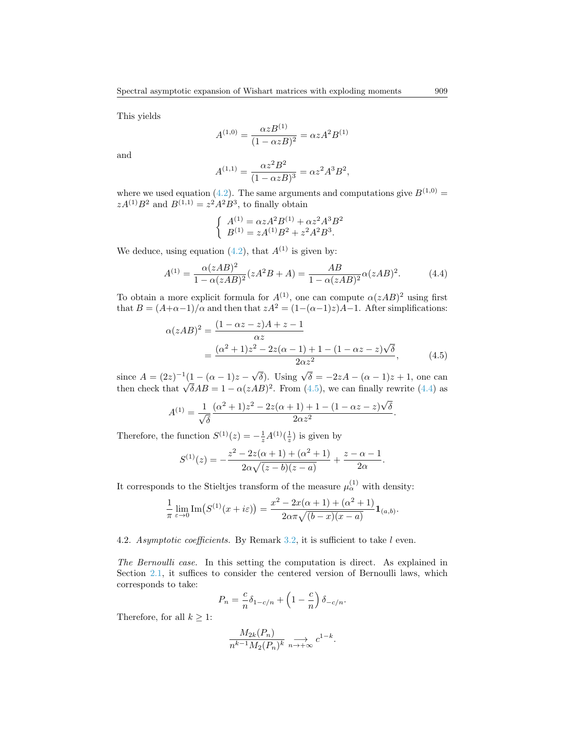This yields

$$
A^{(1,0)} = \frac{\alpha z B^{(1)}}{(1 - \alpha z B)^2} = \alpha z A^2 B^{(1)}
$$

and

$$
A^{(1,1)} = \frac{\alpha z^2 B^2}{(1 - \alpha z B)^3} = \alpha z^2 A^3 B^2,
$$

where we used equation [\(4.2\)](#page-9-2). The same arguments and computations give  $B^{(1,0)} =$  $zA^{(1)}B^2$  and  $B^{(1,1)} = z^2A^2B^3$ , to finally obtain

<span id="page-12-0"></span>
$$
\begin{cases}\nA^{(1)} = \alpha z A^2 B^{(1)} + \alpha z^2 A^3 B^2 \\
B^{(1)} = z A^{(1)} B^2 + z^2 A^2 B^3.\n\end{cases}
$$

We deduce, using equation [\(4.2\)](#page-9-2), that  $A^{(1)}$  is given by:

<span id="page-12-1"></span>
$$
A^{(1)} = \frac{\alpha (zAB)^2}{1 - \alpha (zAB)^2} (zA^2B + A) = \frac{AB}{1 - \alpha (zAB)^2} \alpha (zAB)^2.
$$
 (4.4)

To obtain a more explicit formula for  $A^{(1)}$ , one can compute  $\alpha(zAB)^2$  using first that  $B = (A+\alpha-1)/\alpha$  and then that  $zA^2 = (1-(\alpha-1)z)A-1$ . After simplifications:

$$
\alpha(zAB)^2 = \frac{(1 - \alpha z - z)A + z - 1}{\alpha z} \n= \frac{(\alpha^2 + 1)z^2 - 2z(\alpha - 1) + 1 - (1 - \alpha z - z)\sqrt{\delta}}{2\alpha z^2},
$$
\n(4.5)

since  $A = (2z)^{-1}(1 - (\alpha - 1)z - \sqrt{\delta})$ . Using  $\sqrt{\delta} = -2zA - (\alpha - 1)z + 1$ , one can then check that  $\sqrt{\delta}AB = 1 - \alpha(zAB)^2$ . From [\(4.5\)](#page-12-0), we can finally rewrite [\(4.4\)](#page-12-1) as

$$
A^{(1)} = \frac{1}{\sqrt{\delta}} \frac{(\alpha^2 + 1)z^2 - 2z(\alpha + 1) + 1 - (1 - \alpha z - z)\sqrt{\delta}}{2\alpha z^2}.
$$

Therefore, the function  $S^{(1)}(z) = -\frac{1}{z}A^{(1)}(\frac{1}{z})$  is given by

$$
S^{(1)}(z) = -\frac{z^2 - 2z(\alpha + 1) + (\alpha^2 + 1)}{2\alpha\sqrt{(z - b)(z - a)}} + \frac{z - \alpha - 1}{2\alpha}.
$$

It corresponds to the Stieltjes transform of the measure  $\mu_{\alpha}^{(1)}$  with density:

$$
\frac{1}{\pi} \lim_{\varepsilon \to 0} \text{Im}(S^{(1)}(x + i\varepsilon)) = \frac{x^2 - 2x(\alpha + 1) + (\alpha^2 + 1)}{2\alpha \pi \sqrt{(b - x)(x - a)}} \mathbf{1}_{(a,b)}.
$$

# 4.2. Asymptotic coefficients. By Remark [3.2,](#page-6-2) it is sufficient to take l even.

The Bernoulli case. In this setting the computation is direct. As explained in Section [2.1,](#page-2-1) it suffices to consider the centered version of Bernoulli laws, which corresponds to take:

$$
P_n = \frac{c}{n} \delta_{1-c/n} + \left(1 - \frac{c}{n}\right) \delta_{-c/n}.
$$

Therefore, for all  $k \geq 1$ :

$$
\frac{M_{2k}(P_n)}{n^{k-1}M_2(P_n)^k}\underset{n\rightarrow +\infty}{\longrightarrow} c^{1-k}.
$$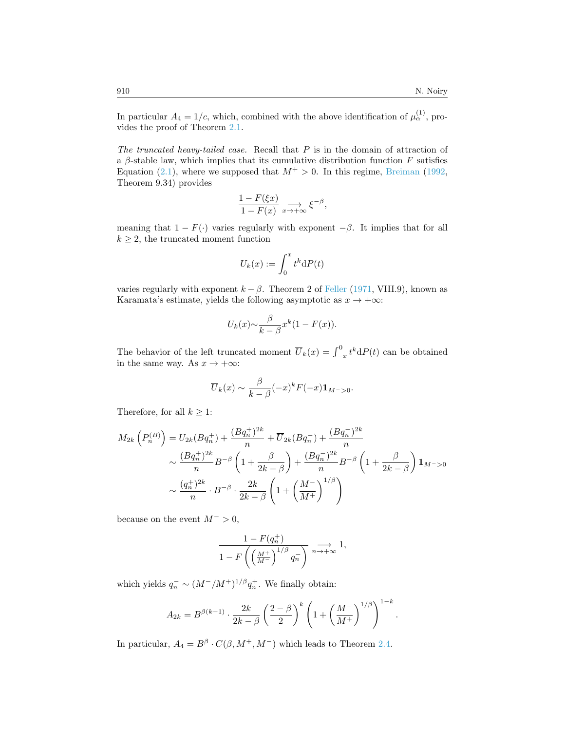In particular  $A_4 = 1/c$ , which, combined with the above identification of  $\mu_{\alpha}^{(1)}$ , provides the proof of Theorem [2.1.](#page-3-0)

The truncated heavy-tailed case. Recall that  $P$  is in the domain of attraction of a  $\beta$ -stable law, which implies that its cumulative distribution function F satisfies Equation [\(2.1\)](#page-4-0), where we supposed that  $M^+ > 0$ . In this regime, [Breiman](#page-14-12) [\(1992,](#page-14-12) Theorem 9.34) provides

$$
\frac{1 - F(\xi x)}{1 - F(x)} \underset{x \to +\infty}{\longrightarrow} \xi^{-\beta},
$$

meaning that  $1 - F(\cdot)$  varies regularly with exponent  $-\beta$ . It implies that for all  $k \geq 2$ , the truncated moment function

$$
U_k(x) := \int_0^x t^k \mathrm{d}P(t)
$$

varies regularly with exponent  $k - \beta$ . Theorem 2 of [Feller](#page-14-14) [\(1971,](#page-14-14) VIII.9), known as Karamata's estimate, yields the following asymptotic as  $x \to +\infty$ :

$$
U_k(x) \sim \frac{\beta}{k-\beta} x^k (1 - F(x)).
$$

The behavior of the left truncated moment  $\overline{U}_k(x) = \int_{-x}^0 t^k dP(t)$  can be obtained in the same way. As  $x \to +\infty$ :

$$
\overline{U}_k(x) \sim \frac{\beta}{k-\beta}(-x)^k F(-x) \mathbf{1}_{M^->0}.
$$

Therefore, for all  $k \geq 1$ :

$$
M_{2k}\left(P_n^{(B)}\right) = U_{2k}(Bq_n^+) + \frac{(Bq_n^+)^{2k}}{n} + \overline{U}_{2k}(Bq_n^-) + \frac{(Bq_n^-)^{2k}}{n}
$$
  
\$\sim \frac{(Bq\_n^+)^{2k}}{n}B^{-\beta}\left(1 + \frac{\beta}{2k - \beta}\right) + \frac{(Bq\_n^-)^{2k}}{n}B^{-\beta}\left(1 + \frac{\beta}{2k - \beta}\right)\mathbf{1}\_{M^->0}\$  
\$\sim \frac{(q\_n^+)^{2k}}{n} \cdot B^{-\beta} \cdot \frac{2k}{2k - \beta}\left(1 + \left(\frac{M^-}{M^+}\right)^{1/\beta}\right)\$

because on the event  $M^- > 0$ ,

$$
\frac{1-F(q_n^+)}{1-F\left(\left(\frac{M^+}{M^-}\right)^{1/\beta}q_n^-\right)}\xrightarrow[n\to+\infty]{}1,
$$

which yields  $q_n^- \sim (M^-/M^+)^{1/\beta} q_n^+$ . We finally obtain:

$$
A_{2k} = B^{\beta(k-1)} \cdot \frac{2k}{2k-\beta} \left(\frac{2-\beta}{2}\right)^k \left(1 + \left(\frac{M^{-}}{M^{+}}\right)^{1/\beta}\right)^{1-k}.
$$

In particular,  $A_4 = B^{\beta} \cdot C(\beta, M^+, M^-)$  which leads to Theorem [2.4.](#page-5-0)